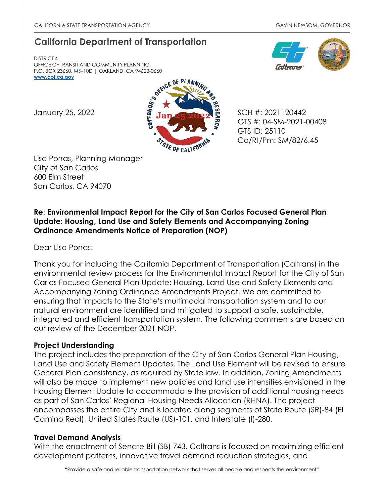# **California Department of Transportation**

DISTRICT 4 OFFICE OF TRANSIT AND COMMUNITY PLANNING P.O. BOX 23660, MS–10D | OAKLAND, CA 94623-0660 **[www.dot.ca.gov](http://www.dot.ca.gov/)**





GTS #: 04-SM-2021-00408 GTS ID: 25110 Co/Rt/Pm: SM/82/6.45

Lisa Porras, Planning Manager City of San Carlos 600 Elm Street San Carlos, CA 94070

## **Re: Environmental Impact Report for the City of San Carlos Focused General Plan Update: Housing, Land Use and Safety Elements and Accompanying Zoning Ordinance Amendments Notice of Preparation (NOP)**

Dear Lisa Porras:

Thank you for including the California Department of Transportation (Caltrans) in the environmental review process for the Environmental Impact Report for the City of San Carlos Focused General Plan Update: Housing, Land Use and Safety Elements and Accompanying Zoning Ordinance Amendments Project. We are committed to ensuring that impacts to the State's multimodal transportation system and to our natural environment are identified and mitigated to support a safe, sustainable, integrated and efficient transportation system. The following comments are based on our review of the December 2021 NOP.

### **Project Understanding**

The project includes the preparation of the City of San Carlos General Plan Housing, Land Use and Safety Element Updates. The Land Use Element will be revised to ensure General Plan consistency, as required by State law. In addition, Zoning Amendments will also be made to implement new policies and land use intensities envisioned in the Housing Element Update to accommodate the provision of additional housing needs as part of San Carlos' Regional Housing Needs Allocation (RHNA). The project encompasses the entire City and is located along segments of State Route (SR)-84 (El Camino Real), United States Route (US)-101, and Interstate (I)-280.

#### **Travel Demand Analysis**

With the enactment of Senate Bill (SB) 743, Caltrans is focused on maximizing efficient development patterns, innovative travel demand reduction strategies, and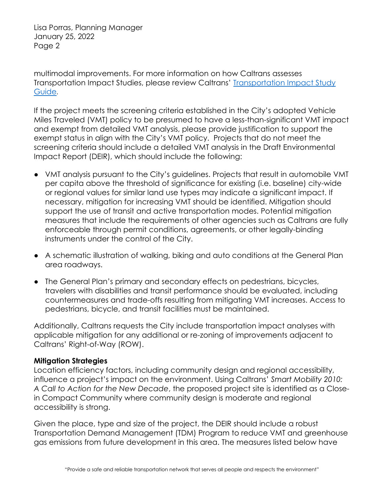Lisa Porras, Planning Manager January 25, 2022 Page 2

multimodal improvements. For more information on how Caltrans assesses Transportation Impact Studies, please review Caltrans' [Transportation Impact Study](https://dot.ca.gov/-/media/dot-media/programs/transportation-planning/documents/sb-743/2020-05-20-approved-vmt-focused-tisg-a11y.pdf)  [Guide](https://dot.ca.gov/-/media/dot-media/programs/transportation-planning/documents/sb-743/2020-05-20-approved-vmt-focused-tisg-a11y.pdf).

If the project meets the screening criteria established in the City's adopted Vehicle Miles Traveled (VMT) policy to be presumed to have a less-than-significant VMT impact and exempt from detailed VMT analysis, please provide justification to support the exempt status in align with the City's VMT policy. Projects that do not meet the screening criteria should include a detailed VMT analysis in the Draft Environmental Impact Report (DEIR), which should include the following:

- VMT analysis pursuant to the City's guidelines. Projects that result in automobile VMT per capita above the threshold of significance for existing (i.e. baseline) city-wide or regional values for similar land use types may indicate a significant impact. If necessary, mitigation for increasing VMT should be identified. Mitigation should support the use of transit and active transportation modes. Potential mitigation measures that include the requirements of other agencies such as Caltrans are fully enforceable through permit conditions, agreements, or other legally-binding instruments under the control of the City.
- A schematic illustration of walking, biking and auto conditions at the General Plan area roadways.
- The General Plan's primary and secondary effects on pedestrians, bicycles, travelers with disabilities and transit performance should be evaluated, including countermeasures and trade-offs resulting from mitigating VMT increases. Access to pedestrians, bicycle, and transit facilities must be maintained.

Additionally, Caltrans requests the City include transportation impact analyses with applicable mitigation for any additional or re-zoning of improvements adjacent to Caltrans' Right-of-Way (ROW).

#### **Mitigation Strategies**

Location efficiency factors, including community design and regional accessibility, influence a project's impact on the environment. Using Caltrans' *Smart Mobility 2010: A Call to Action for the New Decade*, the proposed project site is identified as a Closein Compact Community where community design is moderate and regional accessibility is strong.

Given the place, type and size of the project, the DEIR should include a robust Transportation Demand Management (TDM) Program to reduce VMT and greenhouse gas emissions from future development in this area. The measures listed below have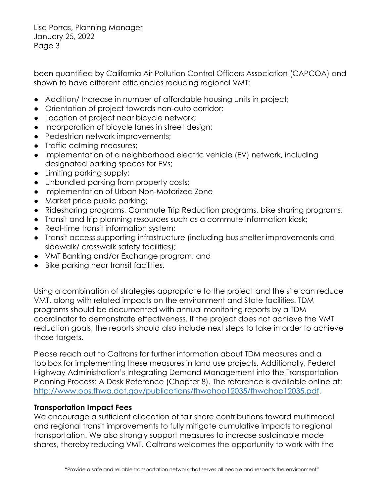Lisa Porras, Planning Manager January 25, 2022 Page 3

been quantified by California Air Pollution Control Officers Association (CAPCOA) and shown to have different efficiencies reducing regional VMT:

- Addition/Increase in number of affordable housing units in project;
- Orientation of project towards non-auto corridor;
- Location of project near bicycle network;
- Incorporation of bicycle lanes in street design;
- Pedestrian network improvements;
- Traffic calming measures;
- Implementation of a neighborhood electric vehicle (EV) network, including designated parking spaces for EVs;
- Limiting parking supply;
- Unbundled parking from property costs;
- Implementation of Urban Non-Motorized Zone
- Market price public parking;
- Ridesharing programs, Commute Trip Reduction programs, bike sharing programs;
- Transit and trip planning resources such as a commute information kiosk;
- Real-time transit information system;
- Transit access supporting infrastructure (including bus shelter improvements and sidewalk/ crosswalk safety facilities);
- VMT Banking and/or Exchange program; and
- Bike parking near transit facilities.

Using a combination of strategies appropriate to the project and the site can reduce VMT, along with related impacts on the environment and State facilities. TDM programs should be documented with annual monitoring reports by a TDM coordinator to demonstrate effectiveness. If the project does not achieve the VMT reduction goals, the reports should also include next steps to take in order to achieve those targets.

Please reach out to Caltrans for further information about TDM measures and a toolbox for implementing these measures in land use projects. Additionally, Federal Highway Administration's Integrating Demand Management into the Transportation Planning Process: A Desk Reference (Chapter 8). The reference is available online at: [http://www.ops.fhwa.dot.gov/publications/fhwahop12035/fhwahop12035.pdf.](http://www.ops.fhwa.dot.gov/publications/fhwahop12035/fhwahop12035.pdf)

#### **Transportation Impact Fees**

We encourage a sufficient allocation of fair share contributions toward multimodal and regional transit improvements to fully mitigate cumulative impacts to regional transportation. We also strongly support measures to increase sustainable mode shares, thereby reducing VMT. Caltrans welcomes the opportunity to work with the